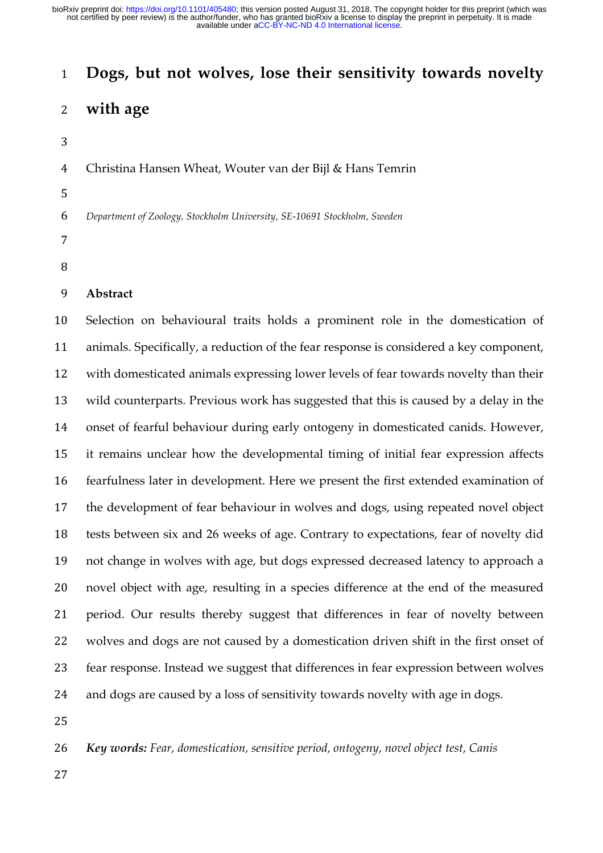# **Dogs, but not wolves, lose their sensitivity towards novelty**

# **with age**

Christina Hansen Wheat, Wouter van der Bijl & Hans Temrin

*Department of Zoology, Stockholm University, SE-10691 Stockholm, Sweden*

- 
- 

# **Abstract**

 Selection on behavioural traits holds a prominent role in the domestication of animals. Specifically, a reduction of the fear response is considered a key component, with domesticated animals expressing lower levels of fear towards novelty than their wild counterparts. Previous work has suggested that this is caused by a delay in the onset of fearful behaviour during early ontogeny in domesticated canids. However, it remains unclear how the developmental timing of initial fear expression affects fearfulness later in development. Here we present the first extended examination of the development of fear behaviour in wolves and dogs, using repeated novel object tests between six and 26 weeks of age. Contrary to expectations, fear of novelty did not change in wolves with age, but dogs expressed decreased latency to approach a novel object with age, resulting in a species difference at the end of the measured period. Our results thereby suggest that differences in fear of novelty between wolves and dogs are not caused by a domestication driven shift in the first onset of fear response. Instead we suggest that differences in fear expression between wolves 24 and dogs are caused by a loss of sensitivity towards novelty with age in dogs.

*Key words: Fear, domestication, sensitive period, ontogeny, novel object test, Canis*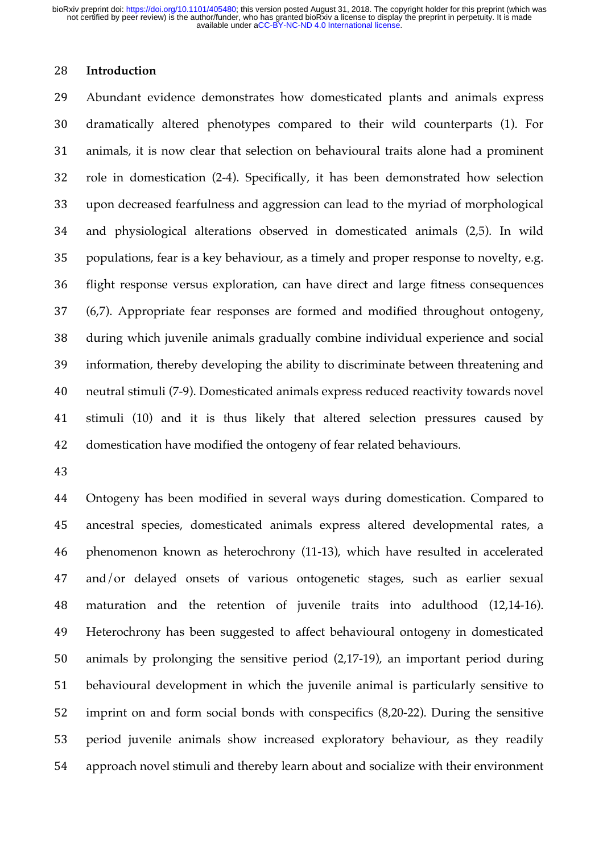#### **Introduction**

 Abundant evidence demonstrates how domesticated plants and animals express dramatically altered phenotypes compared to their wild counterparts (1). For animals, it is now clear that selection on behavioural traits alone had a prominent role in domestication (2-4). Specifically, it has been demonstrated how selection upon decreased fearfulness and aggression can lead to the myriad of morphological and physiological alterations observed in domesticated animals (2,5). In wild populations, fear is a key behaviour, as a timely and proper response to novelty, e.g. flight response versus exploration, can have direct and large fitness consequences (6,7). Appropriate fear responses are formed and modified throughout ontogeny, during which juvenile animals gradually combine individual experience and social information, thereby developing the ability to discriminate between threatening and neutral stimuli (7-9). Domesticated animals express reduced reactivity towards novel stimuli (10) and it is thus likely that altered selection pressures caused by domestication have modified the ontogeny of fear related behaviours.

 Ontogeny has been modified in several ways during domestication. Compared to ancestral species, domesticated animals express altered developmental rates, a phenomenon known as heterochrony (11-13), which have resulted in accelerated and/or delayed onsets of various ontogenetic stages, such as earlier sexual maturation and the retention of juvenile traits into adulthood (12,14-16). Heterochrony has been suggested to affect behavioural ontogeny in domesticated animals by prolonging the sensitive period (2,17-19), an important period during behavioural development in which the juvenile animal is particularly sensitive to imprint on and form social bonds with conspecifics (8,20-22). During the sensitive period juvenile animals show increased exploratory behaviour, as they readily approach novel stimuli and thereby learn about and socialize with their environment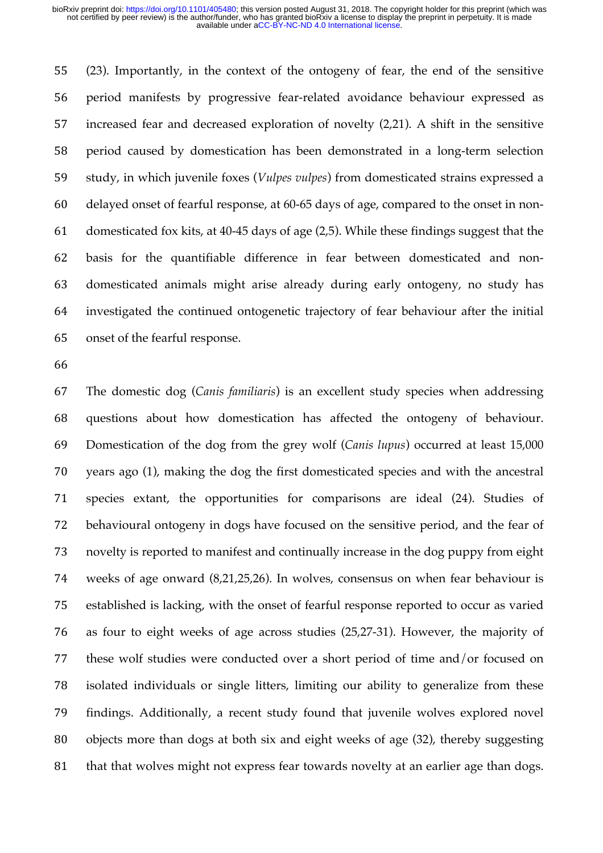(23). Importantly, in the context of the ontogeny of fear, the end of the sensitive period manifests by progressive fear-related avoidance behaviour expressed as increased fear and decreased exploration of novelty (2,21). A shift in the sensitive period caused by domestication has been demonstrated in a long-term selection study, in which juvenile foxes (*Vulpes vulpes*) from domesticated strains expressed a delayed onset of fearful response, at 60-65 days of age, compared to the onset in non- domesticated fox kits, at 40-45 days of age (2,5). While these findings suggest that the basis for the quantifiable difference in fear between domesticated and non- domesticated animals might arise already during early ontogeny, no study has investigated the continued ontogenetic trajectory of fear behaviour after the initial onset of the fearful response.

 The domestic dog (*Canis familiaris*) is an excellent study species when addressing questions about how domestication has affected the ontogeny of behaviour. Domestication of the dog from the grey wolf (*Canis lupus*) occurred at least 15,000 years ago (1), making the dog the first domesticated species and with the ancestral species extant, the opportunities for comparisons are ideal (24). Studies of behavioural ontogeny in dogs have focused on the sensitive period, and the fear of novelty is reported to manifest and continually increase in the dog puppy from eight weeks of age onward (8,21,25,26). In wolves, consensus on when fear behaviour is established is lacking, with the onset of fearful response reported to occur as varied as four to eight weeks of age across studies (25,27-31). However, the majority of these wolf studies were conducted over a short period of time and/or focused on isolated individuals or single litters, limiting our ability to generalize from these findings. Additionally, a recent study found that juvenile wolves explored novel objects more than dogs at both six and eight weeks of age (32), thereby suggesting 81 that that wolves might not express fear towards novelty at an earlier age than dogs.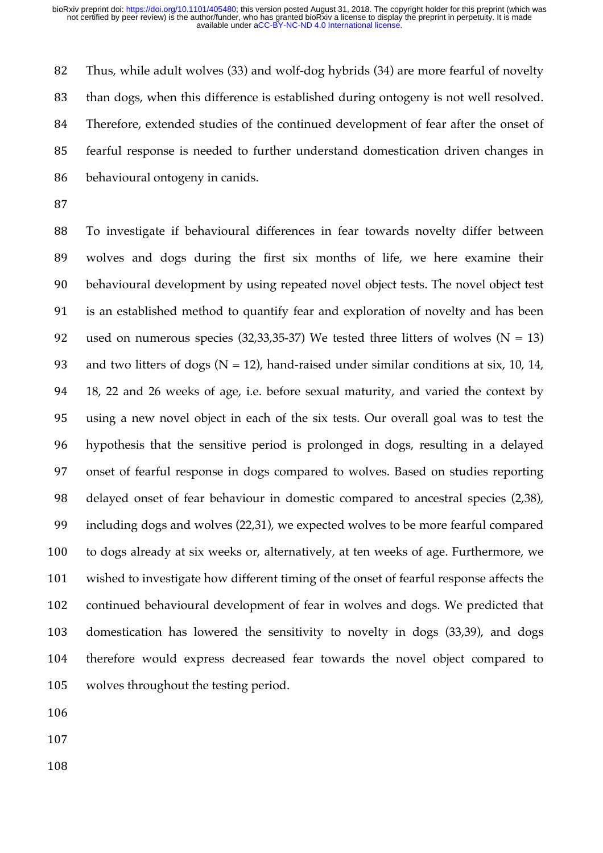Thus, while adult wolves (33) and wolf-dog hybrids (34) are more fearful of novelty than dogs, when this difference is established during ontogeny is not well resolved. Therefore, extended studies of the continued development of fear after the onset of fearful response is needed to further understand domestication driven changes in behavioural ontogeny in canids.

 To investigate if behavioural differences in fear towards novelty differ between wolves and dogs during the first six months of life, we here examine their behavioural development by using repeated novel object tests. The novel object test is an established method to quantify fear and exploration of novelty and has been 92 used on numerous species (32,33,35-37) We tested three litters of wolves ( $N = 13$ ) 93 and two litters of dogs  $(N = 12)$ , hand-raised under similar conditions at six, 10, 14, 18, 22 and 26 weeks of age, i.e. before sexual maturity, and varied the context by using a new novel object in each of the six tests. Our overall goal was to test the hypothesis that the sensitive period is prolonged in dogs, resulting in a delayed onset of fearful response in dogs compared to wolves. Based on studies reporting delayed onset of fear behaviour in domestic compared to ancestral species (2,38), including dogs and wolves (22,31), we expected wolves to be more fearful compared to dogs already at six weeks or, alternatively, at ten weeks of age. Furthermore, we wished to investigate how different timing of the onset of fearful response affects the continued behavioural development of fear in wolves and dogs. We predicted that domestication has lowered the sensitivity to novelty in dogs (33,39), and dogs therefore would express decreased fear towards the novel object compared to wolves throughout the testing period.

- 
- 
-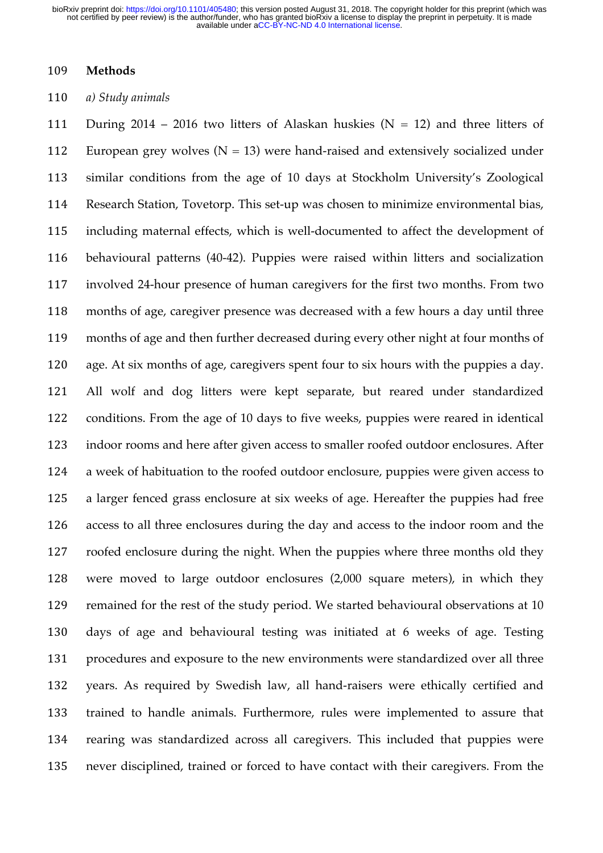#### **Methods**

#### *a) Study animals*

111 During 2014 – 2016 two litters of Alaskan huskies  $(N = 12)$  and three litters of 112 European grey wolves  $(N = 13)$  were hand-raised and extensively socialized under similar conditions from the age of 10 days at Stockholm University's Zoological Research Station, Tovetorp. This set-up was chosen to minimize environmental bias, including maternal effects, which is well-documented to affect the development of behavioural patterns (40-42). Puppies were raised within litters and socialization involved 24-hour presence of human caregivers for the first two months. From two months of age, caregiver presence was decreased with a few hours a day until three months of age and then further decreased during every other night at four months of age. At six months of age, caregivers spent four to six hours with the puppies a day. All wolf and dog litters were kept separate, but reared under standardized conditions. From the age of 10 days to five weeks, puppies were reared in identical indoor rooms and here after given access to smaller roofed outdoor enclosures. After a week of habituation to the roofed outdoor enclosure, puppies were given access to a larger fenced grass enclosure at six weeks of age. Hereafter the puppies had free access to all three enclosures during the day and access to the indoor room and the roofed enclosure during the night. When the puppies where three months old they were moved to large outdoor enclosures (2,000 square meters), in which they remained for the rest of the study period. We started behavioural observations at 10 days of age and behavioural testing was initiated at 6 weeks of age. Testing procedures and exposure to the new environments were standardized over all three years. As required by Swedish law, all hand-raisers were ethically certified and trained to handle animals. Furthermore, rules were implemented to assure that rearing was standardized across all caregivers. This included that puppies were never disciplined, trained or forced to have contact with their caregivers. From the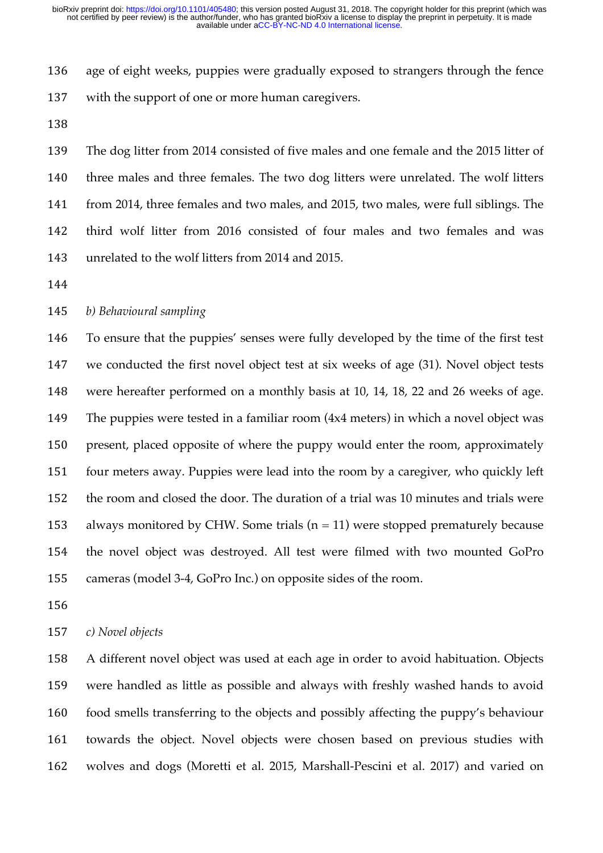age of eight weeks, puppies were gradually exposed to strangers through the fence with the support of one or more human caregivers.

 The dog litter from 2014 consisted of five males and one female and the 2015 litter of three males and three females. The two dog litters were unrelated. The wolf litters from 2014, three females and two males, and 2015, two males, were full siblings. The third wolf litter from 2016 consisted of four males and two females and was unrelated to the wolf litters from 2014 and 2015.

# *b) Behavioural sampling*

 To ensure that the puppies' senses were fully developed by the time of the first test we conducted the first novel object test at six weeks of age (31). Novel object tests were hereafter performed on a monthly basis at 10, 14, 18, 22 and 26 weeks of age. The puppies were tested in a familiar room (4x4 meters) in which a novel object was present, placed opposite of where the puppy would enter the room, approximately four meters away. Puppies were lead into the room by a caregiver, who quickly left the room and closed the door. The duration of a trial was 10 minutes and trials were 153 always monitored by CHW. Some trials  $(n = 11)$  were stopped prematurely because the novel object was destroyed. All test were filmed with two mounted GoPro cameras (model 3-4, GoPro Inc.) on opposite sides of the room.

#### *c) Novel objects*

 A different novel object was used at each age in order to avoid habituation. Objects were handled as little as possible and always with freshly washed hands to avoid food smells transferring to the objects and possibly affecting the puppy's behaviour towards the object. Novel objects were chosen based on previous studies with wolves and dogs (Moretti et al. 2015, Marshall-Pescini et al. 2017) and varied on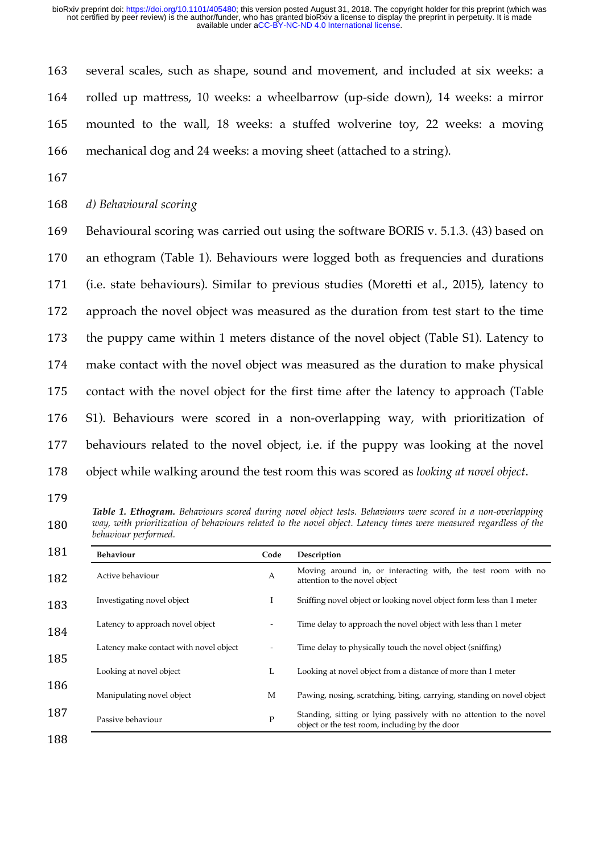several scales, such as shape, sound and movement, and included at six weeks: a rolled up mattress, 10 weeks: a wheelbarrow (up-side down), 14 weeks: a mirror mounted to the wall, 18 weeks: a stuffed wolverine toy, 22 weeks: a moving mechanical dog and 24 weeks: a moving sheet (attached to a string).

*d) Behavioural scoring*

 Behavioural scoring was carried out using the software BORIS v. 5.1.3. (43) based on an ethogram (Table 1). Behaviours were logged both as frequencies and durations (i.e. state behaviours). Similar to previous studies (Moretti et al., 2015), latency to approach the novel object was measured as the duration from test start to the time the puppy came within 1 meters distance of the novel object (Table S1). Latency to make contact with the novel object was measured as the duration to make physical contact with the novel object for the first time after the latency to approach (Table S1). Behaviours were scored in a non-overlapping way, with prioritization of behaviours related to the novel object, i.e. if the puppy was looking at the novel object while walking around the test room this was scored as *looking at novel object*.

*Table 1. Ethogram. Behaviours scored during novel object tests. Behaviours were scored in a non-overlapping way, with prioritization of behaviours related to the novel object. Latency times were measured regardless of the behaviour performed.* 

| Behaviour                              | Code         | Description                                                                                                           |  |  |  |
|----------------------------------------|--------------|-----------------------------------------------------------------------------------------------------------------------|--|--|--|
| Active behaviour                       | A            | Moving around in, or interacting with, the test room with no<br>attention to the novel object                         |  |  |  |
| Investigating novel object             | Ι            | Sniffing novel object or looking novel object form less than 1 meter                                                  |  |  |  |
| Latency to approach novel object       |              | Time delay to approach the novel object with less than 1 meter                                                        |  |  |  |
| Latency make contact with novel object |              | Time delay to physically touch the novel object (sniffing)                                                            |  |  |  |
| Looking at novel object                | L            | Looking at novel object from a distance of more than 1 meter                                                          |  |  |  |
| Manipulating novel object              | M            | Pawing, nosing, scratching, biting, carrying, standing on novel object                                                |  |  |  |
| Passive behaviour                      | $\mathbf{P}$ | Standing, sitting or lying passively with no attention to the novel<br>object or the test room, including by the door |  |  |  |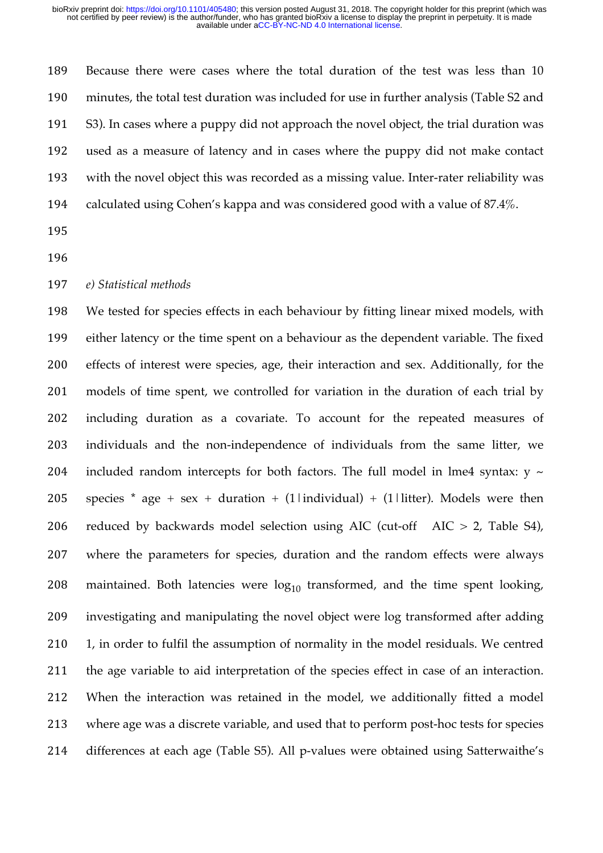Because there were cases where the total duration of the test was less than 10 minutes, the total test duration was included for use in further analysis (Table S2 and S3). In cases where a puppy did not approach the novel object, the trial duration was used as a measure of latency and in cases where the puppy did not make contact with the novel object this was recorded as a missing value. Inter-rater reliability was calculated using Cohen's kappa and was considered good with a value of 87.4%.

#### *e) Statistical methods*

 We tested for species effects in each behaviour by fitting linear mixed models, with either latency or the time spent on a behaviour as the dependent variable. The fixed effects of interest were species, age, their interaction and sex. Additionally, for the models of time spent, we controlled for variation in the duration of each trial by including duration as a covariate. To account for the repeated measures of individuals and the non-independence of individuals from the same litter, we 204 included random intercepts for both factors. The full model in lme4 syntax:  $y \sim$ 205 species \* age + sex + duration + (1|individual) + (1|litter). Models were then 206 reduced by backwards model selection using AIC (cut-off  $AIC > 2$ , Table S4), where the parameters for species, duration and the random effects were always 208 maintained. Both latencies were  $log_{10}$  transformed, and the time spent looking, investigating and manipulating the novel object were log transformed after adding 210 1, in order to fulfil the assumption of normality in the model residuals. We centred the age variable to aid interpretation of the species effect in case of an interaction. When the interaction was retained in the model, we additionally fitted a model where age was a discrete variable, and used that to perform post-hoc tests for species differences at each age (Table S5). All p-values were obtained using Satterwaithe's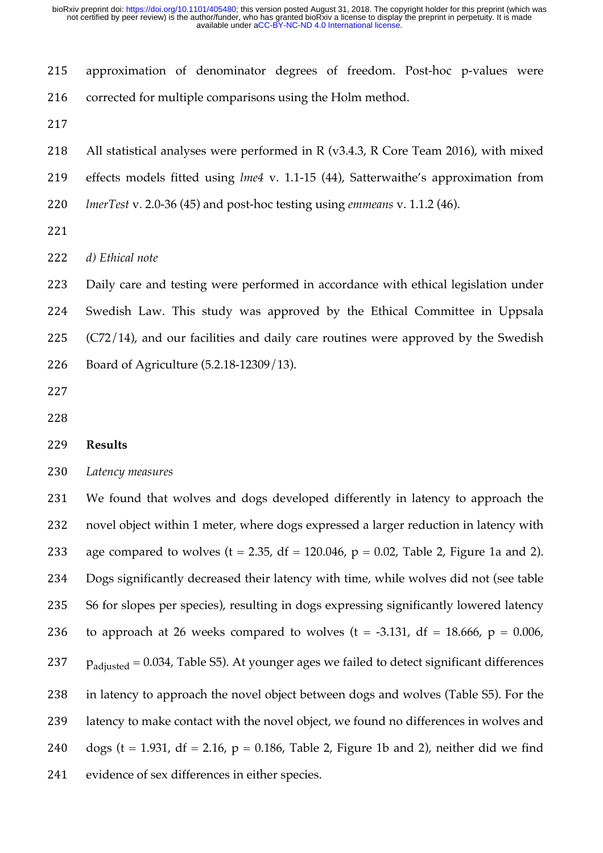approximation of denominator degrees of freedom. Post-hoc p-values were 216 corrected for multiple comparisons using the Holm method.

All statistical analyses were performed in R (v3.4.3, R Core Team 2016), with mixed

effects models fitted using *lme4* v. 1.1-15 (44), Satterwaithe's approximation from

*lmerTest* v. 2.0-36 (45) and post-hoc testing using *emmeans* v. 1.1.2 (46).

*d) Ethical note*

 Daily care and testing were performed in accordance with ethical legislation under Swedish Law. This study was approved by the Ethical Committee in Uppsala (C72/14), and our facilities and daily care routines were approved by the Swedish Board of Agriculture (5.2.18-12309/13).

#### **Results**

#### *Latency measures*

 We found that wolves and dogs developed differently in latency to approach the novel object within 1 meter, where dogs expressed a larger reduction in latency with 233 age compared to wolves ( $t = 2.35$ , df = 120.046,  $p = 0.02$ , Table 2, Figure 1a and 2). Dogs significantly decreased their latency with time, while wolves did not (see table S6 for slopes per species), resulting in dogs expressing significantly lowered latency 236 to approach at 26 weeks compared to wolves  $(t = -3.131, df = 18.666, p = 0.006,$  $p_{\text{adjusted}} = 0.034$ , Table S5). At younger ages we failed to detect significant differences in latency to approach the novel object between dogs and wolves (Table S5). For the latency to make contact with the novel object, we found no differences in wolves and 240 dogs (t = 1.931, df = 2.16,  $p = 0.186$ , Table 2, Figure 1b and 2), neither did we find evidence of sex differences in either species.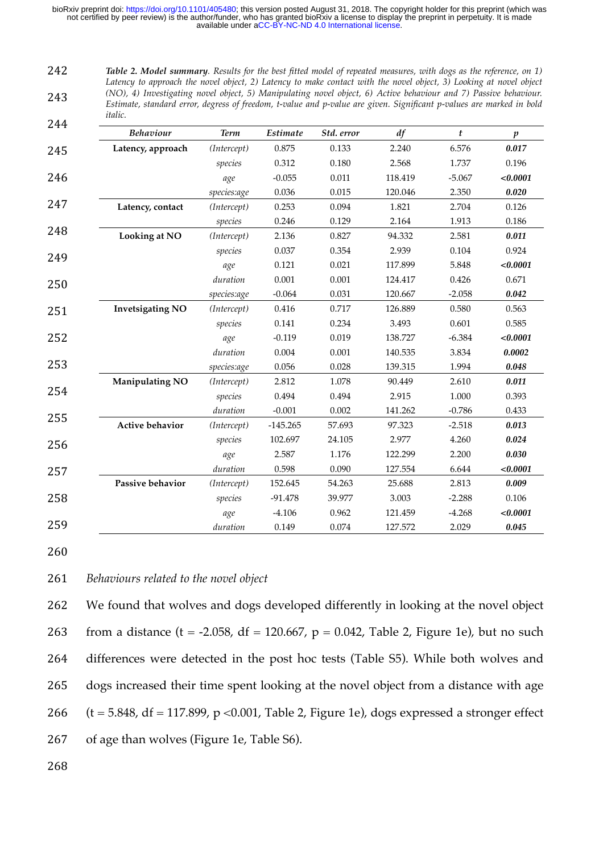*Table 2. Model summary. Results for the best fitted model of repeated measures, with dogs as the reference, on 1) Latency to approach the novel object, 2) Latency to make contact with the novel object, 3) Looking at novel object (NO), 4) Investigating novel object, 5) Manipulating novel object, 6) Active behaviour and 7) Passive behaviour. Estimate, standard error, degress of freedom, t-value and p-value are given. Significant p-values are marked in bold italic.* 242 243 244

| <u>_ 1 1</u> | <b>Behaviour</b>        | <b>Term</b> | Estimate   | Std. error | df      | t        | $\boldsymbol{p}$ |
|--------------|-------------------------|-------------|------------|------------|---------|----------|------------------|
| 245          | Latency, approach       | (Intercept) | 0.875      | 0.133      | 2.240   | 6.576    | 0.017            |
|              |                         | species     | 0.312      | 0.180      | 2.568   | 1.737    | 0.196            |
|              |                         | age         | $-0.055$   | 0.011      | 118.419 | $-5.067$ | < 0.0001         |
|              |                         | species:age | 0.036      | 0.015      | 120.046 | 2.350    | 0.020            |
|              | Latency, contact        | (Intercept) | 0.253      | 0.094      | 1.821   | 2.704    | 0.126            |
|              |                         | species     | 0.246      | 0.129      | 2.164   | 1.913    | 0.186            |
|              | <b>Looking at NO</b>    | (Intercept) | 2.136      | 0.827      | 94.332  | 2.581    | 0.011            |
|              |                         | species     | 0.037      | 0.354      | 2.939   | 0.104    | 0.924            |
|              |                         | age         | 0.121      | 0.021      | 117.899 | 5.848    | < 0.0001         |
|              |                         | duration    | 0.001      | 0.001      | 124.417 | 0.426    | 0.671            |
|              |                         | species:age | $-0.064$   | 0.031      | 120.667 | $-2.058$ | 0.042            |
|              | <b>Invetsigating NO</b> | (Intercept) | 0.416      | 0.717      | 126.889 | 0.580    | 0.563            |
|              |                         | species     | 0.141      | 0.234      | 3.493   | 0.601    | 0.585            |
|              |                         | age         | $-0.119$   | 0.019      | 138.727 | $-6.384$ | < 0.0001         |
|              |                         | duration    | 0.004      | 0.001      | 140.535 | 3.834    | 0.0002           |
|              |                         | species:age | 0.056      | 0.028      | 139.315 | 1.994    | 0.048            |
|              | <b>Manipulating NO</b>  | (Intercept) | 2.812      | 1.078      | 90.449  | 2.610    | 0.011            |
|              |                         | species     | 0.494      | 0.494      | 2.915   | 1.000    | 0.393            |
|              |                         | duration    | $-0.001$   | 0.002      | 141.262 | $-0.786$ | 0.433            |
|              | <b>Active behavior</b>  | (Intercept) | $-145.265$ | 57.693     | 97.323  | $-2.518$ | 0.013            |
|              |                         | species     | 102.697    | 24.105     | 2.977   | 4.260    | 0.024            |
|              |                         | age         | 2.587      | 1.176      | 122.299 | 2.200    | 0.030            |
|              |                         | duration    | 0.598      | 0.090      | 127.554 | 6.644    | < 0.0001         |
|              | Passive behavior        | (Intercept) | 152.645    | 54.263     | 25.688  | 2.813    | 0.009            |
|              |                         | species     | $-91.478$  | 39.977     | 3.003   | $-2.288$ | 0.106            |
|              |                         | age         | $-4.106$   | 0.962      | 121.459 | $-4.268$ | < 0.0001         |
|              |                         | duration    | 0.149      | 0.074      | 127.572 | 2.029    | 0.045            |

260

### 261 *Behaviours related to the novel object*

 We found that wolves and dogs developed differently in looking at the novel object 263 from a distance (t = -2.058, df = 120.667,  $p = 0.042$ , Table 2, Figure 1e), but no such differences were detected in the post hoc tests (Table S5). While both wolves and dogs increased their time spent looking at the novel object from a distance with age  $(t = 5.848, df = 117.899, p < 0.001, Table 2, Figure 1e), dogs expressed a stronger effect$ of age than wolves (Figure 1e, Table S6).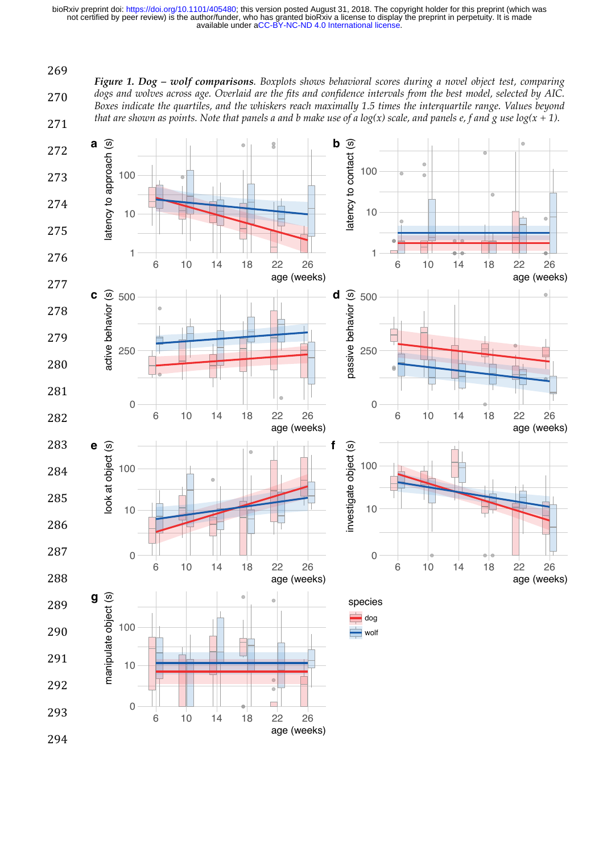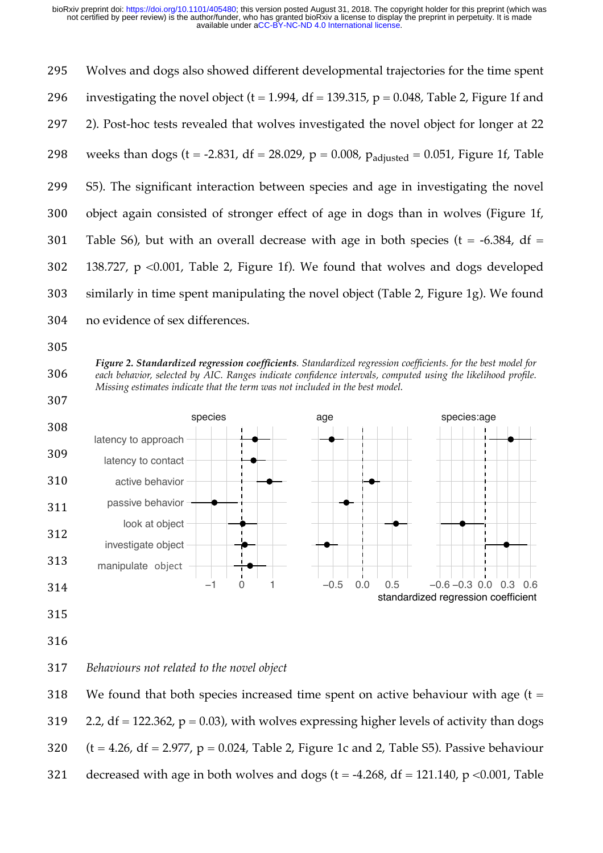Wolves and dogs also showed different developmental trajectories for the time spent 296 investigating the novel object (t = 1.994, df = 139.315, p = 0.048, Table 2, Figure 1f and 2). Post-hoc tests revealed that wolves investigated the novel object for longer at 22 298 weeks than dogs (t = -2.831, df = 28.029, p = 0.008,  $p_{adjusted} = 0.051$ , Figure 1f, Table S5). The significant interaction between species and age in investigating the novel object again consisted of stronger effect of age in dogs than in wolves (Figure 1f, 301 Table S6), but with an overall decrease with age in both species ( $t = -6.384$ , df = 138.727, p <0.001, Table 2, Figure 1f). We found that wolves and dogs developed similarly in time spent manipulating the novel object (Table 2, Figure 1g). We found no evidence of sex differences.







- 315
- 316

## 317 *Behaviours not related to the novel object*

318 We found that both species increased time spent on active behaviour with age  $(t =$ 319 2.2, df = 122.362,  $p = 0.03$ ), with wolves expressing higher levels of activity than dogs 320  $(t = 4.26, df = 2.977, p = 0.024, Table 2, Figure 1c and 2, Table S5). Passing behavior$ 321 decreased with age in both wolves and dogs  $(t = -4.268, df = 121.140, p < 0.001$ , Table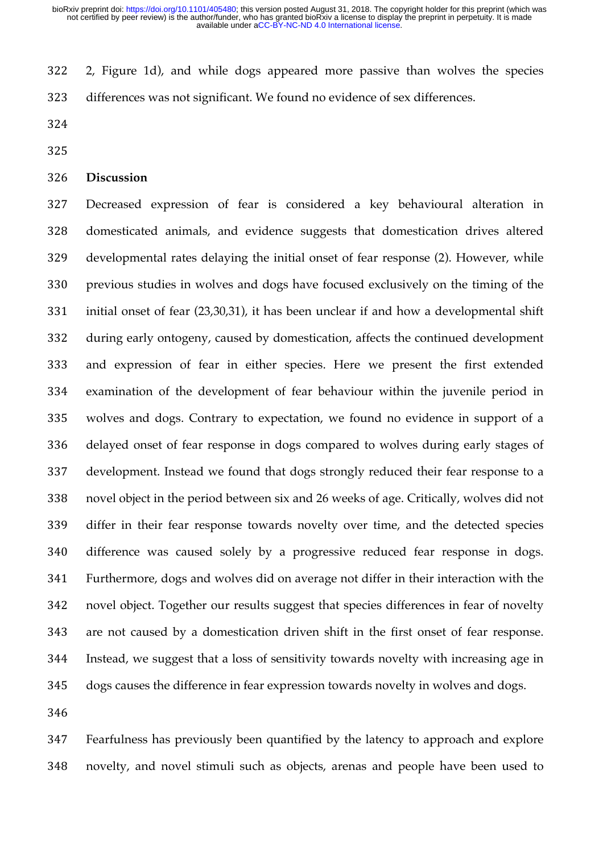2, Figure 1d), and while dogs appeared more passive than wolves the species differences was not significant. We found no evidence of sex differences.

- 
- 

#### **Discussion**

 Decreased expression of fear is considered a key behavioural alteration in domesticated animals, and evidence suggests that domestication drives altered developmental rates delaying the initial onset of fear response (2). However, while previous studies in wolves and dogs have focused exclusively on the timing of the initial onset of fear (23,30,31), it has been unclear if and how a developmental shift during early ontogeny, caused by domestication, affects the continued development and expression of fear in either species. Here we present the first extended examination of the development of fear behaviour within the juvenile period in wolves and dogs. Contrary to expectation, we found no evidence in support of a delayed onset of fear response in dogs compared to wolves during early stages of development. Instead we found that dogs strongly reduced their fear response to a novel object in the period between six and 26 weeks of age. Critically, wolves did not differ in their fear response towards novelty over time, and the detected species difference was caused solely by a progressive reduced fear response in dogs. Furthermore, dogs and wolves did on average not differ in their interaction with the novel object. Together our results suggest that species differences in fear of novelty are not caused by a domestication driven shift in the first onset of fear response. Instead, we suggest that a loss of sensitivity towards novelty with increasing age in dogs causes the difference in fear expression towards novelty in wolves and dogs.

 Fearfulness has previously been quantified by the latency to approach and explore novelty, and novel stimuli such as objects, arenas and people have been used to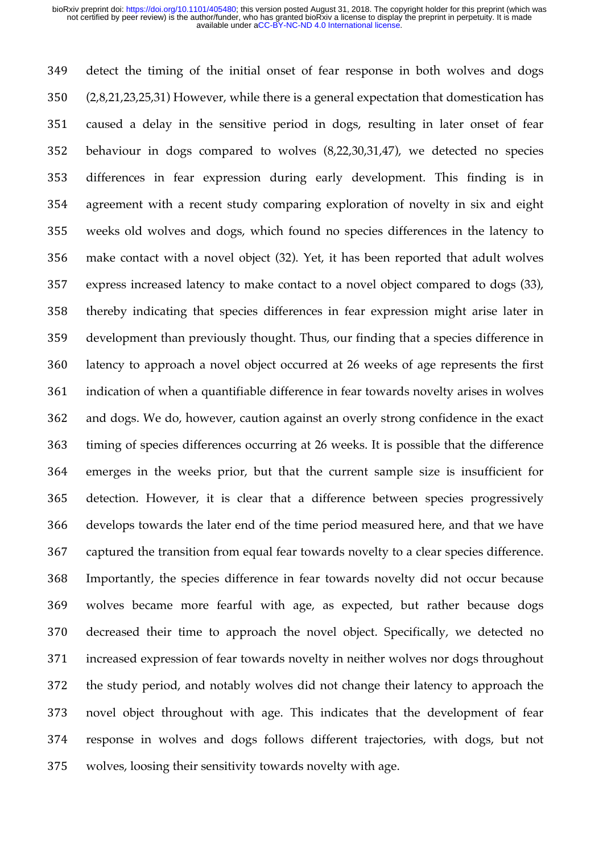detect the timing of the initial onset of fear response in both wolves and dogs (2,8,21,23,25,31) However, while there is a general expectation that domestication has caused a delay in the sensitive period in dogs, resulting in later onset of fear behaviour in dogs compared to wolves (8,22,30,31,47), we detected no species differences in fear expression during early development. This finding is in agreement with a recent study comparing exploration of novelty in six and eight weeks old wolves and dogs, which found no species differences in the latency to make contact with a novel object (32). Yet, it has been reported that adult wolves express increased latency to make contact to a novel object compared to dogs (33), thereby indicating that species differences in fear expression might arise later in development than previously thought. Thus, our finding that a species difference in latency to approach a novel object occurred at 26 weeks of age represents the first indication of when a quantifiable difference in fear towards novelty arises in wolves and dogs. We do, however, caution against an overly strong confidence in the exact timing of species differences occurring at 26 weeks. It is possible that the difference emerges in the weeks prior, but that the current sample size is insufficient for detection. However, it is clear that a difference between species progressively develops towards the later end of the time period measured here, and that we have captured the transition from equal fear towards novelty to a clear species difference. Importantly, the species difference in fear towards novelty did not occur because wolves became more fearful with age, as expected, but rather because dogs decreased their time to approach the novel object. Specifically, we detected no increased expression of fear towards novelty in neither wolves nor dogs throughout the study period, and notably wolves did not change their latency to approach the novel object throughout with age. This indicates that the development of fear response in wolves and dogs follows different trajectories, with dogs, but not wolves, loosing their sensitivity towards novelty with age.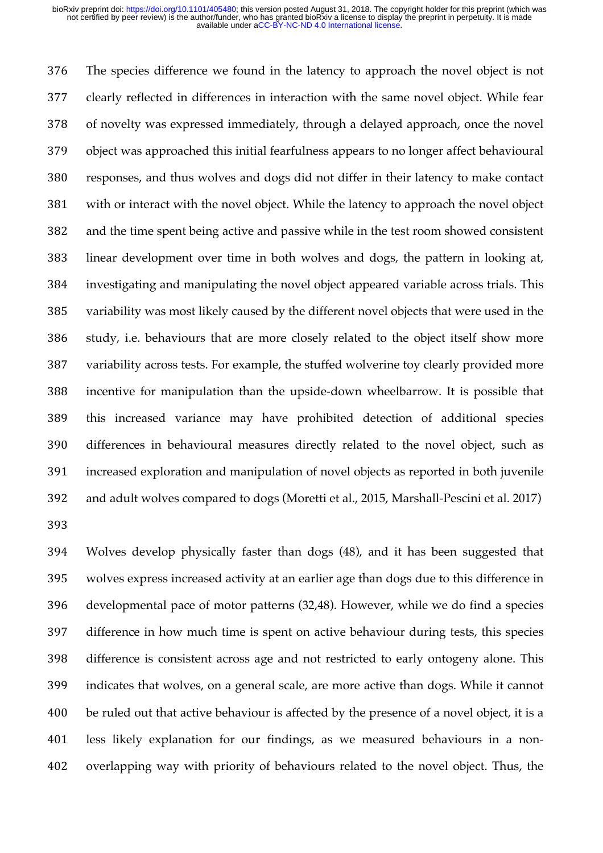The species difference we found in the latency to approach the novel object is not clearly reflected in differences in interaction with the same novel object. While fear of novelty was expressed immediately, through a delayed approach, once the novel object was approached this initial fearfulness appears to no longer affect behavioural responses, and thus wolves and dogs did not differ in their latency to make contact with or interact with the novel object. While the latency to approach the novel object and the time spent being active and passive while in the test room showed consistent linear development over time in both wolves and dogs, the pattern in looking at, investigating and manipulating the novel object appeared variable across trials. This variability was most likely caused by the different novel objects that were used in the study, i.e. behaviours that are more closely related to the object itself show more variability across tests. For example, the stuffed wolverine toy clearly provided more incentive for manipulation than the upside-down wheelbarrow. It is possible that this increased variance may have prohibited detection of additional species differences in behavioural measures directly related to the novel object, such as increased exploration and manipulation of novel objects as reported in both juvenile and adult wolves compared to dogs (Moretti et al., 2015, Marshall-Pescini et al. 2017) 

 Wolves develop physically faster than dogs (48), and it has been suggested that wolves express increased activity at an earlier age than dogs due to this difference in developmental pace of motor patterns (32,48). However, while we do find a species difference in how much time is spent on active behaviour during tests, this species difference is consistent across age and not restricted to early ontogeny alone. This indicates that wolves, on a general scale, are more active than dogs. While it cannot 400 be ruled out that active behaviour is affected by the presence of a novel object, it is a less likely explanation for our findings, as we measured behaviours in a non-overlapping way with priority of behaviours related to the novel object. Thus, the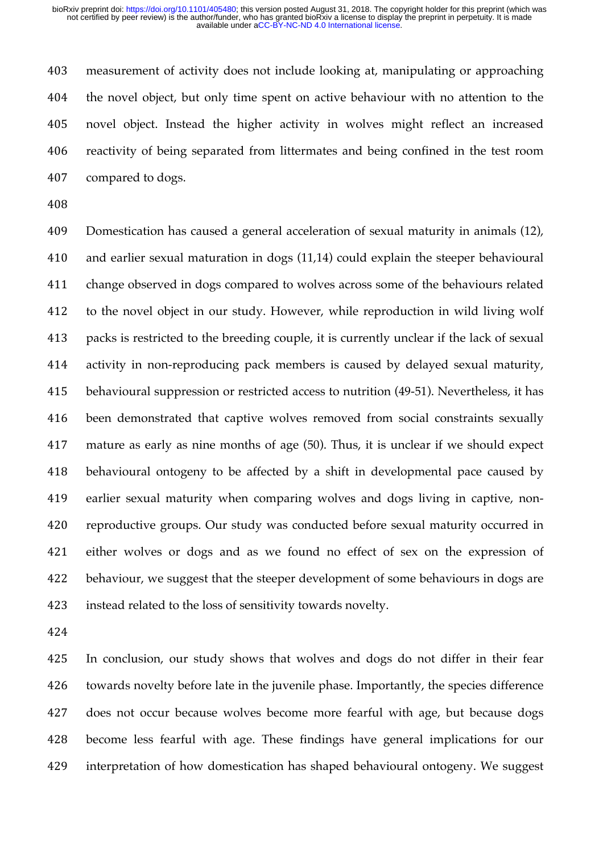measurement of activity does not include looking at, manipulating or approaching the novel object, but only time spent on active behaviour with no attention to the novel object. Instead the higher activity in wolves might reflect an increased reactivity of being separated from littermates and being confined in the test room compared to dogs.

 Domestication has caused a general acceleration of sexual maturity in animals (12), and earlier sexual maturation in dogs (11,14) could explain the steeper behavioural change observed in dogs compared to wolves across some of the behaviours related to the novel object in our study. However, while reproduction in wild living wolf packs is restricted to the breeding couple, it is currently unclear if the lack of sexual activity in non-reproducing pack members is caused by delayed sexual maturity, behavioural suppression or restricted access to nutrition (49-51). Nevertheless, it has been demonstrated that captive wolves removed from social constraints sexually mature as early as nine months of age (50). Thus, it is unclear if we should expect behavioural ontogeny to be affected by a shift in developmental pace caused by earlier sexual maturity when comparing wolves and dogs living in captive, non- reproductive groups. Our study was conducted before sexual maturity occurred in either wolves or dogs and as we found no effect of sex on the expression of behaviour, we suggest that the steeper development of some behaviours in dogs are instead related to the loss of sensitivity towards novelty.

 In conclusion, our study shows that wolves and dogs do not differ in their fear towards novelty before late in the juvenile phase. Importantly, the species difference does not occur because wolves become more fearful with age, but because dogs become less fearful with age. These findings have general implications for our interpretation of how domestication has shaped behavioural ontogeny. We suggest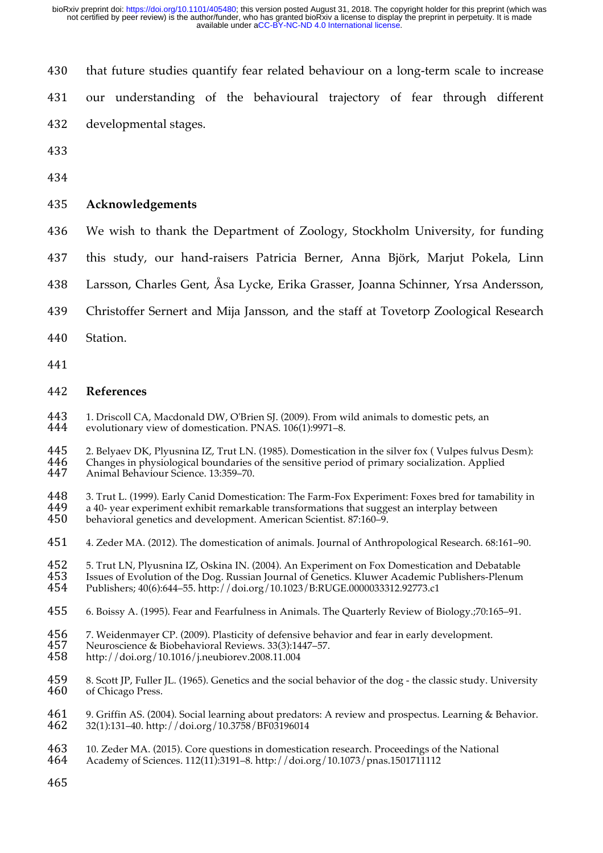| 430 | that future studies quantify fear related behaviour on a long-term scale to increase |
|-----|--------------------------------------------------------------------------------------|
| 431 | our understanding of the behavioural trajectory of fear through different            |
| 432 | developmental stages.                                                                |
| 433 |                                                                                      |
| 434 |                                                                                      |
| 435 | Acknowledgements                                                                     |
| 436 | We wish to thank the Department of Zoology, Stockholm University, for funding        |
| 437 | this study, our hand-raisers Patricia Berner, Anna Björk, Marjut Pokela, Linn        |
| 438 | Larsson, Charles Gent, Åsa Lycke, Erika Grasser, Joanna Schinner, Yrsa Andersson,    |

- 439 Christoffer Sernert and Mija Jansson, and the staff at Tovetorp Zoological Research
- 440 Station.
- 441

#### 442 **References**

443 1. Driscoll CA, Macdonald DW, O'Brien SJ. (2009). From wild animals to domestic pets, an evolutionary view of domestication. PNAS. 106(1):9971–8. evolutionary view of domestication. PNAS. 106(1):9971-8.

445 2. Belyaev DK, Plyusnina IZ, Trut LN. (1985). Domestication in the silver fox ( Vulpes fulvus Desm):<br>446 Changes in physiological boundaries of the sensitive period of primary socialization. Applied 446 Changes in physiological boundaries of the sensitive period of primary socialization. Applied 447 Animal Behaviour Science 13:359–70 447 Animal Behaviour Science. 13:359–70.

448 3. Trut L. (1999). Early Canid Domestication: The Farm-Fox Experiment: Foxes bred for tamability in 449 a 40- vear experiment exhibit remarkable transformations that suggest an interplay between 449 a 40- year experiment exhibit remarkable transformations that suggest an interplay between<br>450 behavioral genetics and development. American Scientist. 87:160–9.

- behavioral genetics and development. American Scientist. 87:160–9.
- 451 4. Zeder MA. (2012). The domestication of animals. Journal of Anthropological Research. 68:161–90.

452 5. Trut LN, Plyusnina IZ, Oskina IN. (2004). An Experiment on Fox Domestication and Debatable<br>453 Issues of Evolution of the Dog. Russian Journal of Genetics. Kluwer Academic Publishers-Plenum 453 Issues of Evolution of the Dog. Russian Journal of Genetics. Kluwer Academic Publishers-Plenum<br>454 Publishers: 40(6):644–55. http://doi.org/10.1023/B:RUGE.0000033312.92773.c1 454 Publishers; 40(6):644–55. http://doi.org/10.1023/B:RUGE.0000033312.92773.c1

- 455 6. Boissy A. (1995). Fear and Fearfulness in Animals. The Quarterly Review of Biology.;70:165–91.
- 456 7. Weidenmayer CP. (2009). Plasticity of defensive behavior and fear in early development.<br>457 Neuroscience & Biobehavioral Reviews. 33(3):1447–57.
- 457 Neuroscience & Biobehavioral Reviews. 33(3):1447–57.
- 458 http://doi.org/10.1016/j.neubiorev.2008.11.004
- 459 8. Scott JP, Fuller JL. (1965). Genetics and the social behavior of the dog the classic study. University 460 of Chicago Press. of Chicago Press.
- 461 9. Griffin AS. (2004). Social learning about predators: A review and prospectus. Learning & Behavior.<br>462 32(1):131–40. http://doi.org/10.3758/BF03196014 462 32(1):131–40. http://doi.org/10.3758/BF03196014
- 463 10. Zeder MA. (2015). Core questions in domestication research. Proceedings of the National 464 Academy of Sciences. 112(11):3191–8. http://doi.org/10.1073/pnas.1501711112
- 464 Academy of Sciences. 112(11):3191–8. http://doi.org/10.1073/pnas.1501711112
- 465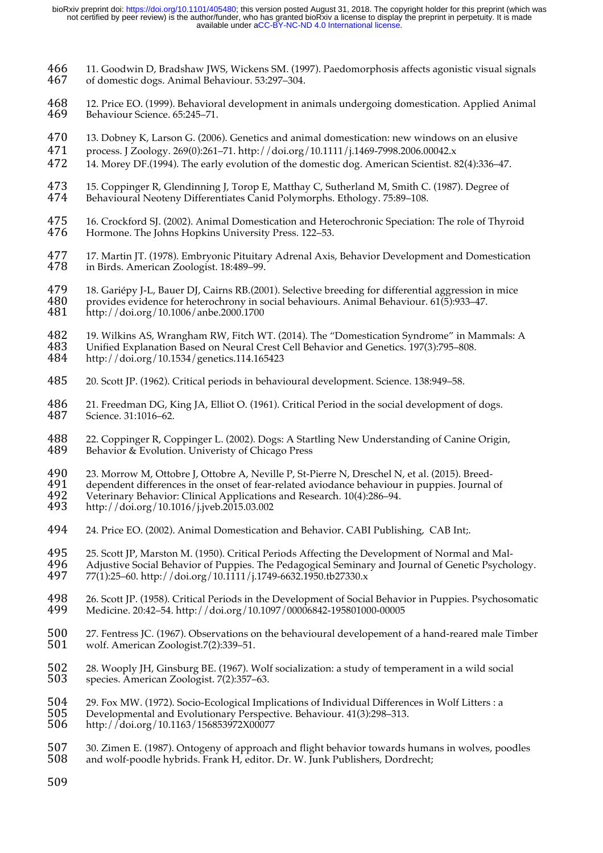- 466 11. Goodwin D, Bradshaw JWS, Wickens SM. (1997). Paedomorphosis affects agonistic visual signals of domestic dogs. Animal Behaviour. 53:297-304.
- 468 12. Price EO. (1999). Behavioral development in animals undergoing domestication. Applied Animal Behaviour Science. 65:245-71.
- 470 13. Dobney K, Larson G. (2006). Genetics and animal domestication: new windows on an elusive
- 471 process. J Zoology. 269(0):261–71. http://doi.org/10.1111/j.1469-7998.2006.00042.x
- 472 14. Morey DF.(1994). The early evolution of the domestic dog. American Scientist. 82(4):336–47.
- 473 15. Coppinger R, Glendinning J, Torop E, Matthay C, Sutherland M, Smith C. (1987). Degree of 474 Behavioural Neoteny Differentiates Canid Polymorphs Ethology 75:89-108 Behavioural Neoteny Differentiates Canid Polymorphs. Ethology. 75:89-108.
- 475 16. Crockford SJ. (2002). Animal Domestication and Heterochronic Speciation: The role of Thyroid<br>476 Hormone. The Johns Hopkins University Press. 122–53. Hormone. The Johns Hopkins University Press. 122–53.
- 477 17. Martin JT. (1978). Embryonic Pituitary Adrenal Axis, Behavior Development and Domestication<br>478 in Birds, American Zoologist, 18:489–99. in Birds. American Zoologist. 18:489-99.
- 479 18. Gariépy J-L, Bauer DJ, Cairns RB.(2001). Selective breeding for differential aggression in mice<br>480 provides evidence for heterochrony in social behaviours. Animal Behaviour. 61(5):933–47. 480 provides evidence for heterochrony in social behaviours. Animal Behaviour.  $61(5):933-47$ .<br>481 http://doi.org/10.1006/anbe.2000.1700 481 http://doi.org/10.1006/anbe.2000.1700
- 482 19. Wilkins AS, Wrangham RW, Fitch WT. (2014). The "Domestication Syndrome" in Mammals: A<br>483 Unified Explanation Based on Neural Crest Cell Behavior and Genetics. 197(3):795–808. 483 Unified Explanation Based on Neural Crest Cell Behavior and Genetics. 197(3):795–808.
- 484 http://doi.org/10.1534/genetics.114.165423
- 485 20. Scott JP. (1962). Critical periods in behavioural development. Science. 138:949–58.
- 486 21. Freedman DG, King JA, Elliot O. (1961). Critical Period in the social development of dogs.<br>487 Science. 31:1016–62. Science. 31:1016-62.
- 488 22. Coppinger R, Coppinger L. (2002). Dogs: A Startling New Understanding of Canine Origin,<br>489 Behavior & Evolution. Univeristy of Chicago Press Behavior & Evolution. Univeristy of Chicago Press
- 
- 490 23. Morrow M, Ottobre J, Ottobre A, Neville P, St-Pierre N, Dreschel N, et al. (2015). Breed-<br>491 dependent differences in the onset of fear-related aviodance behaviour in puppies. Journal 491 dependent differences in the onset of fear-related aviodance behaviour in puppies. Journal of 492 Veterinary Behavior: Clinical Applications and Research, 10(4):286–94.
- 492 Veterinary Behavior: Clinical Applications and Research. 10(4):286–94.<br>493 http://doi.org/10.1016/i.iveb.2015.03.002
- 493 http://doi.org/10.1016/j.jveb.2015.03.002
- 494 24. Price EO. (2002). Animal Domestication and Behavior. CABI Publishing, CAB Int;.
- 495 25. Scott JP, Marston M. (1950). Critical Periods Affecting the Development of Normal and Mal-<br>496 Adiustive Social Behavior of Puppies. The Pedagogical Seminary and Journal of Genetic Psycho
- 496 Adjustive Social Behavior of Puppies. The Pedagogical Seminary and Journal of Genetic Psychology.<br>497 77(1):25–60. http://doi.org/10.1111/i.1749-6632.1950.tb27330.x 497 77(1):25–60. http://doi.org/10.1111/j.1749-6632.1950.tb27330.x
- 498 26. Scott JP. (1958). Critical Periods in the Development of Social Behavior in Puppies. Psychosomatic 499 Medicine. 20:42–54. http://doi.org/10.1097/00006842-195801000-00005 499 Medicine. 20:42–54. http://doi.org/10.1097/00006842-195801000-00005
- 500 27. Fentress JC. (1967). Observations on the behavioural developement of a hand-reared male Timber wolf. American Zoologist.7(2):339–51. wolf. American Zoologist.7(2):339-51.
- 502 28. Wooply JH, Ginsburg BE. (1967). Wolf socialization: a study of temperament in a wild social 503 species. American Zoologist. 7(2):357–63. species. American Zoologist. 7(2):357–63.
- 504 29. Fox MW. (1972). Socio-Ecological Implications of Individual Differences in Wolf Litters : a<br>505 Developmental and Evolutionary Perspective. Behaviour. 41(3):298–313.
- 505 Developmental and Evolutionary Perspective. Behaviour. 41(3):298–313.<br>506 http://doi.org/10.1163/156853972X00077
- http://doi.org/10.1163/156853972X00077
- 507 30. Zimen E. (1987). Ontogeny of approach and flight behavior towards humans in wolves, poodles<br>508 and wolf-poodle hybrids. Frank H. editor. Dr. W. Junk Publishers. Dordrecht: and wolf-poodle hybrids. Frank H, editor. Dr. W. Junk Publishers, Dordrecht;
- 509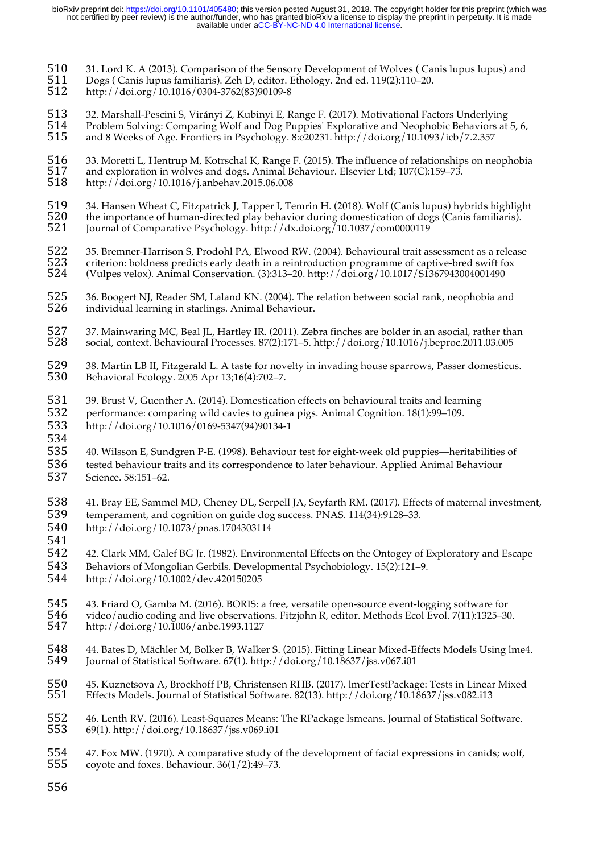- 510 31. Lord K. A (2013). Comparison of the Sensory Development of Wolves (Canis lupus lupus) and 511 Dogs (Canis lupus familiaris). Zeh D, editor. Ethology. 2nd ed. 119(2):110–20.
- 511 Dogs ( Canis lupus familiaris). Zeh D, editor. Ethology. 2nd ed. 119(2):110–20.
- 512 http://doi.org/10.1016/0304-3762(83)90109-8
- 513 32. Marshall-Pescini S, Virányi Z, Kubinyi E, Range F. (2017). Motivational Factors Underlying<br>514 Problem Solving: Comparing Wolf and Dog Puppies' Explorative and Neophobic Behaviors at 514 Problem Solving: Comparing Wolf and Dog Puppies' Explorative and Neophobic Behaviors at 5, 6, 515<br>515 and 8 Weeks of Age. Frontiers in Psychology. 8:e20231. http://doi.org/10.1093/icb/7.2.357 515 and 8 Weeks of Age. Frontiers in Psychology. 8:e20231. http://doi.org/10.1093/icb/7.2.357
- 516 33. Moretti L, Hentrup M, Kotrschal K, Range F. (2015). The influence of relationships on neophobia<br>517 and exploration in wolves and dogs. Animal Behaviour. Elsevier Ltd; 107(C):159–73. 517 and exploration in wolves and dogs. Animal Behaviour. Elsevier Ltd; 107(C):159–73.<br>518 http://doi.org/10.1016/j.anbehav.2015.06.008 518 http://doi.org/10.1016/j.anbehav.2015.06.008
- 519 34. Hansen Wheat C, Fitzpatrick J, Tapper I, Temrin H. (2018). Wolf (Canis lupus) hybrids highlight the importance of human-directed play behavior during domestication of dogs (Canis familiaris).
- $520$  the importance of human-directed play behavior during domestication of dogs (Canis familiaris).<br> $521$  Iournal of Comparative Psychology, http://dx.doi.org/10.1037/com0000119 521 Journal of Comparative Psychology. http://dx.doi.org/10.1037/com0000119
- 522 35. Bremner-Harrison S, Prodohl PA, Elwood RW. (2004). Behavioural trait assessment as a release<br>523 criterion: boldness predicts early death in a reintroduction programme of captive-bred swift fox<br>524 (Vulpes velox). criterion: boldness predicts early death in a reintroduction programme of captive-bred swift fox 524 (Vulpes velox). Animal Conservation. (3):313–20. http://doi.org/10.1017/S1367943004001490
- 525 36. Boogert NJ, Reader SM, Laland KN. (2004). The relation between social rank, neophobia and<br>526 individual learning in starlings. Animal Behaviour. individual learning in starlings. Animal Behaviour.
- 527 37. Mainwaring MC, Beal JL, Hartley IR. (2011). Zebra finches are bolder in an asocial, rather than 528 social, context. Behavioural Processes. 87(2):171-5. http://doi.org/10.1016/i.beproc.2011.03.005 528 social, context. Behavioural Processes. 87(2):171–5. http://doi.org/10.1016/j.beproc.2011.03.005
- 529 38. Martin LB II, Fitzgerald L. A taste for novelty in invading house sparrows, Passer domesticus.<br>530 Behavioral Ecology. 2005 Apr 13;16(4):702–7. 530 Behavioral Ecology. 2005 Apr 13;16(4):702–7.
- 531 39. Brust V, Guenther A. (2014). Domestication effects on behavioural traits and learning 532 performance: comparing wild cavies to guinea pigs. Animal Cognition. 18(1):99–109. 533 http://doi.org/10.1016/0169-5347(94)90134-1
- 535 40. Wilsson E, Sundgren P-E. (1998). Behaviour test for eight-week old puppies—heritabilities of 536 tested behaviour traits and its correspondence to later behaviour. Applied Animal Behaviour 537 Science. 58:151–62.
- 538 41. Bray EE, Sammel MD, Cheney DL, Serpell JA, Seyfarth RM. (2017). Effects of maternal investment, 539 temperament, and cognition on guide dog success. PNAS. 114(34):9128–33. 540 http://doi.org/10.1073/pnas.1704303114
- 541

- 542 42. Clark MM, Galef BG Jr. (1982). Environmental Effects on the Ontogey of Exploratory and Escape
- 543 Behaviors of Mongolian Gerbils. Developmental Psychobiology. 15(2):121–9. 544 http://doi.org/10.1002/dev.420150205
- 545 43. Friard O, Gamba M. (2016). BORIS: a free, versatile open-source event-logging software for<br>546 video/audio coding and live observations. Fitzjohn R, editor. Methods Ecol Evol. 7(11):1325–30 546 video/audio coding and live observations. Fitzjohn R, editor. Methods Ecol Evol. 7(11):1325–30.<br>547 http://doi.org/10.1006/anbe.1993.1127
- 547 http://doi.org/10.1006/anbe.1993.1127
- 548 44. Bates D, Mächler M, Bolker B, Walker S. (2015). Fitting Linear Mixed-Effects Models Using lme4.<br>549 Iournal of Statistical Software. 67(1). http://doi.org/10.18637/iss.v067.i01 Journal of Statistical Software. 67(1). http://doi.org/10.18637/jss.v067.i01
- 550 45. Kuznetsova A, Brockhoff PB, Christensen RHB. (2017). lmerTestPackage: Tests in Linear Mixed Effects Models. Journal of Statistical Software. 82(13). http://doi.org/10.18637/jss.v082.i13
- 552 46. Lenth RV. (2016). Least-Squares Means: The RPackage Ismeans. Journal of Statistical Software.<br>553 69(1). http://doi.org/10.18637/jss.v069.i01 553 69(1). http://doi.org/10.18637/jss.v069.i01
- 554 47. Fox MW. (1970). A comparative study of the development of facial expressions in canids; wolf, 555 covote and foxes. Behaviour. 36(1/2):49–73. coyote and foxes. Behaviour.  $36(1/2):49-73$ .
- 556